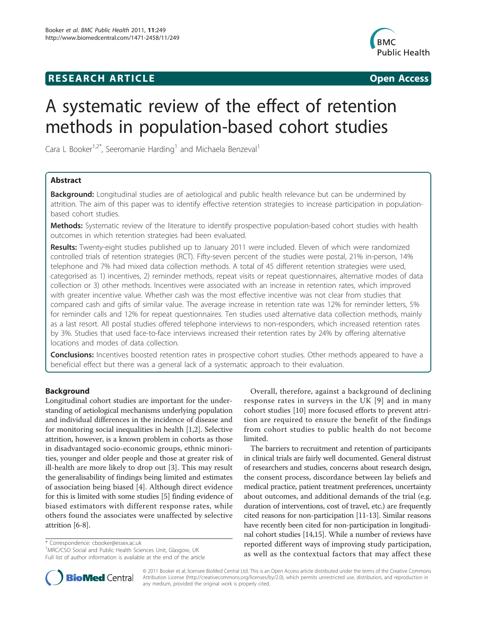# **RESEARCH ARTICLE CONSUMING THE OPEN ACCESS**



# A systematic review of the effect of retention methods in population-based cohort studies

Cara L Booker<sup>1,2\*</sup>, Seeromanie Harding<sup>1</sup> and Michaela Benzeval<sup>1</sup>

# Abstract

**Background:** Longitudinal studies are of aetiological and public health relevance but can be undermined by attrition. The aim of this paper was to identify effective retention strategies to increase participation in populationbased cohort studies.

Methods: Systematic review of the literature to identify prospective population-based cohort studies with health outcomes in which retention strategies had been evaluated.

Results: Twenty-eight studies published up to January 2011 were included. Eleven of which were randomized controlled trials of retention strategies (RCT). Fifty-seven percent of the studies were postal, 21% in-person, 14% telephone and 7% had mixed data collection methods. A total of 45 different retention strategies were used, categorised as 1) incentives, 2) reminder methods, repeat visits or repeat questionnaires, alternative modes of data collection or 3) other methods. Incentives were associated with an increase in retention rates, which improved with greater incentive value. Whether cash was the most effective incentive was not clear from studies that compared cash and gifts of similar value. The average increase in retention rate was 12% for reminder letters, 5% for reminder calls and 12% for repeat questionnaires. Ten studies used alternative data collection methods, mainly as a last resort. All postal studies offered telephone interviews to non-responders, which increased retention rates by 3%. Studies that used face-to-face interviews increased their retention rates by 24% by offering alternative locations and modes of data collection.

**Conclusions:** Incentives boosted retention rates in prospective cohort studies. Other methods appeared to have a beneficial effect but there was a general lack of a systematic approach to their evaluation.

# Background

Longitudinal cohort studies are important for the understanding of aetiological mechanisms underlying population and individual differences in the incidence of disease and for monitoring social inequalities in health [\[1,2](#page-9-0)]. Selective attrition, however, is a known problem in cohorts as those in disadvantaged socio-economic groups, ethnic minorities, younger and older people and those at greater risk of ill-health are more likely to drop out [\[3](#page-9-0)]. This may result the generalisability of findings being limited and estimates of association being biased [\[4](#page-9-0)]. Although direct evidence for this is limited with some studies [\[5](#page-9-0)] finding evidence of biased estimators with different response rates, while others found the associates were unaffected by selective attrition [[6](#page-9-0)[-8\]](#page-10-0).

\* Correspondence: [cbooker@essex.ac.uk](mailto:cbooker@essex.ac.uk)

<sup>1</sup>MRC/CSO Social and Public Health Sciences Unit, Glasgow, UK Full list of author information is available at the end of the article

Overall, therefore, against a background of declining response rates in surveys in the UK [[9](#page-10-0)] and in many cohort studies [\[10](#page-10-0)] more focused efforts to prevent attrition are required to ensure the benefit of the findings from cohort studies to public health do not become limited.

The barriers to recruitment and retention of participants in clinical trials are fairly well documented. General distrust of researchers and studies, concerns about research design, the consent process, discordance between lay beliefs and medical practice, patient treatment preferences, uncertainty about outcomes, and additional demands of the trial (e.g. duration of interventions, cost of travel, etc.) are frequently cited reasons for non-participation [[11](#page-10-0)-[13](#page-10-0)]. Similar reasons have recently been cited for non-participation in longitudinal cohort studies [\[14,15](#page-10-0)]. While a number of reviews have reported different ways of improving study participation, as well as the contextual factors that may affect these



© 2011 Booker et al; licensee BioMed Central Ltd. This is an Open Access article distributed under the terms of the Creative Commons Attribution License [\(http://creativecommons.org/licenses/by/2.0](http://creativecommons.org/licenses/by/2.0)), which permits unrestricted use, distribution, and reproduction in any medium, provided the original work is properly cited.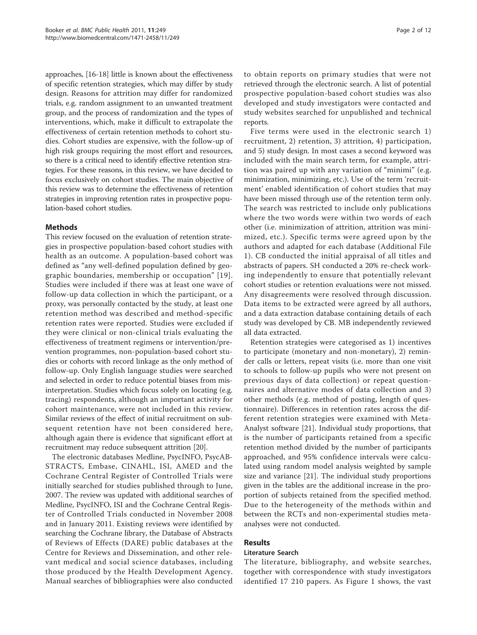approaches, [\[16-18](#page-10-0)] little is known about the effectiveness of specific retention strategies, which may differ by study design. Reasons for attrition may differ for randomized trials, e.g. random assignment to an unwanted treatment group, and the process of randomization and the types of interventions, which, make it difficult to extrapolate the effectiveness of certain retention methods to cohort studies. Cohort studies are expensive, with the follow-up of high risk groups requiring the most effort and resources, so there is a critical need to identify effective retention strategies. For these reasons, in this review, we have decided to focus exclusively on cohort studies. The main objective of this review was to determine the effectiveness of retention strategies in improving retention rates in prospective population-based cohort studies.

#### Methods

This review focused on the evaluation of retention strategies in prospective population-based cohort studies with health as an outcome. A population-based cohort was defined as "any well-defined population defined by geographic boundaries, membership or occupation" [\[19\]](#page-10-0). Studies were included if there was at least one wave of follow-up data collection in which the participant, or a proxy, was personally contacted by the study, at least one retention method was described and method-specific retention rates were reported. Studies were excluded if they were clinical or non-clinical trials evaluating the effectiveness of treatment regimens or intervention/prevention programmes, non-population-based cohort studies or cohorts with record linkage as the only method of follow-up. Only English language studies were searched and selected in order to reduce potential biases from misinterpretation. Studies which focus solely on locating (e.g. tracing) respondents, although an important activity for cohort maintenance, were not included in this review. Similar reviews of the effect of initial recruitment on subsequent retention have not been considered here, although again there is evidence that significant effort at recruitment may reduce subsequent attrition [\[20](#page-10-0)].

The electronic databases Medline, PsycINFO, PsycAB-STRACTS, Embase, CINAHL, ISI, AMED and the Cochrane Central Register of Controlled Trials were initially searched for studies published through to June, 2007. The review was updated with additional searches of Medline, PsycINFO, ISI and the Cochrane Central Register of Controlled Trials conducted in November 2008 and in January 2011. Existing reviews were identified by searching the Cochrane library, the Database of Abstracts of Reviews of Effects (DARE) public databases at the Centre for Reviews and Dissemination, and other relevant medical and social science databases, including those produced by the Health Development Agency. Manual searches of bibliographies were also conducted

to obtain reports on primary studies that were not retrieved through the electronic search. A list of potential prospective population-based cohort studies was also developed and study investigators were contacted and study websites searched for unpublished and technical reports.

Five terms were used in the electronic search 1) recruitment, 2) retention, 3) attrition, 4) participation, and 5) study design. In most cases a second keyword was included with the main search term, for example, attrition was paired up with any variation of "minimi" (e.g. minimization, minimizing, etc.). Use of the term 'recruitment' enabled identification of cohort studies that may have been missed through use of the retention term only. The search was restricted to include only publications where the two words were within two words of each other (i.e. minimization of attrition, attrition was minimized, etc.). Specific terms were agreed upon by the authors and adapted for each database (Additional File [1\)](#page-9-0). CB conducted the initial appraisal of all titles and abstracts of papers. SH conducted a 20% re-check working independently to ensure that potentially relevant cohort studies or retention evaluations were not missed. Any disagreements were resolved through discussion. Data items to be extracted were agreed by all authors, and a data extraction database containing details of each study was developed by CB. MB independently reviewed all data extracted.

Retention strategies were categorised as 1) incentives to participate (monetary and non-monetary), 2) reminder calls or letters, repeat visits (i.e. more than one visit to schools to follow-up pupils who were not present on previous days of data collection) or repeat questionnaires and alternative modes of data collection and 3) other methods (e.g. method of posting, length of questionnaire). Differences in retention rates across the different retention strategies were examined with Meta-Analyst software [[21\]](#page-10-0). Individual study proportions, that is the number of participants retained from a specific retention method divided by the number of participants approached, and 95% confidence intervals were calculated using random model analysis weighted by sample size and variance [\[21](#page-10-0)]. The individual study proportions given in the tables are the additional increase in the proportion of subjects retained from the specified method. Due to the heterogeneity of the methods within and between the RCTs and non-experimental studies metaanalyses were not conducted.

#### Results

#### Literature Search

The literature, bibliography, and website searches, together with correspondence with study investigators identified 17 210 papers. As Figure [1](#page-2-0) shows, the vast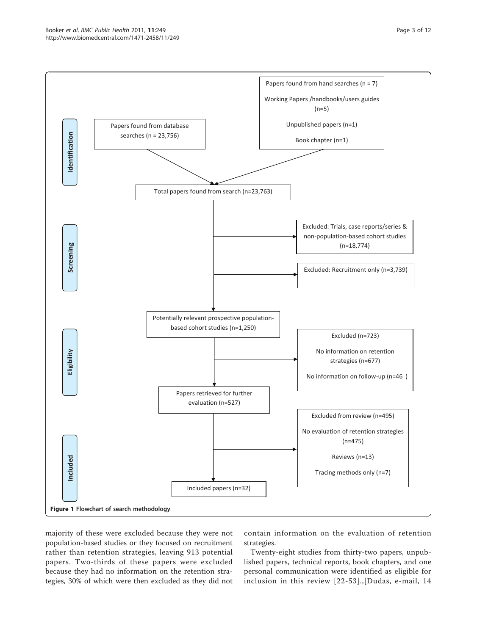<span id="page-2-0"></span>

majority of these were excluded because they were not population-based studies or they focused on recruitment rather than retention strategies, leaving 913 potential papers. Two-thirds of these papers were excluded because they had no information on the retention strategies, 30% of which were then excluded as they did not

contain information on the evaluation of retention strategies.

Twenty-eight studies from thirty-two papers, unpublished papers, technical reports, book chapters, and one personal communication were identified as eligible for inclusion in this review [\[22](#page-10-0)-[53\]](#page-11-0).,[Dudas, e-mail, 14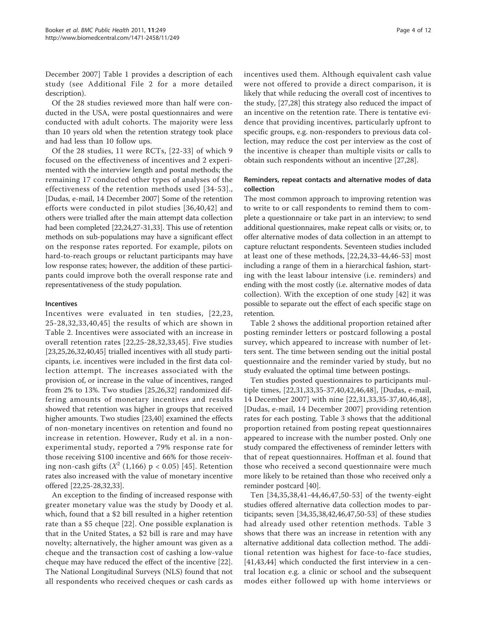December 2007] Table [1](#page-4-0) provides a description of each study (see Additional File [2](#page-9-0) for a more detailed description).

Of the 28 studies reviewed more than half were conducted in the USA, were postal questionnaires and were conducted with adult cohorts. The majority were less than 10 years old when the retention strategy took place and had less than 10 follow ups.

Of the 28 studies, 11 were RCTs, [\[22-33\]](#page-10-0) of which 9 focused on the effectiveness of incentives and 2 experimented with the interview length and postal methods; the remaining 17 conducted other types of analyses of the effectiveness of the retention methods used [[34-](#page-10-0)[53](#page-11-0)]., [Dudas, e-mail, 14 December 2007] Some of the retention efforts were conducted in pilot studies [[36,40](#page-10-0),[42](#page-10-0)] and others were trialled after the main attempt data collection had been completed [[22,24,27](#page-10-0)-[31,33](#page-10-0)]. This use of retention methods on sub-populations may have a significant effect on the response rates reported. For example, pilots on hard-to-reach groups or reluctant participants may have low response rates; however, the addition of these participants could improve both the overall response rate and representativeness of the study population.

#### Incentives

Incentives were evaluated in ten studies, [[22](#page-10-0),[23](#page-10-0), [25](#page-10-0)-[28,32](#page-10-0),[33](#page-10-0),[40,45\]](#page-10-0) the results of which are shown in Table [2.](#page-6-0) Incentives were associated with an increase in overall retention rates [[22,25](#page-10-0)-[28](#page-10-0),[32,33](#page-10-0),[45\]](#page-10-0). Five studies [[23,25,26,32,40,45\]](#page-10-0) trialled incentives with all study participants, i.e. incentives were included in the first data collection attempt. The increases associated with the provision of, or increase in the value of incentives, ranged from 2% to 13%. Two studies [[25,26,32](#page-10-0)] randomized differing amounts of monetary incentives and results showed that retention was higher in groups that received higher amounts. Two studies [\[23,40\]](#page-10-0) examined the effects of non-monetary incentives on retention and found no increase in retention. However, Rudy et al. in a nonexperimental study, reported a 79% response rate for those receiving \$100 incentive and 66% for those receiving non-cash gifts  $(X^2 (1,166) p < 0.05)$  [[45](#page-10-0)]. Retention rates also increased with the value of monetary incentive offered [[22,25-28,32,33\]](#page-10-0).

An exception to the finding of increased response with greater monetary value was the study by Doody et al. which, found that a \$2 bill resulted in a higher retention rate than a \$5 cheque [[22](#page-10-0)]. One possible explanation is that in the United States, a \$2 bill is rare and may have novelty; alternatively, the higher amount was given as a cheque and the transaction cost of cashing a low-value cheque may have reduced the effect of the incentive [\[22](#page-10-0)]. The National Longitudinal Surveys (NLS) found that not all respondents who received cheques or cash cards as incentives used them. Although equivalent cash value were not offered to provide a direct comparison, it is likely that while reducing the overall cost of incentives to the study, [\[27,28](#page-10-0)] this strategy also reduced the impact of an incentive on the retention rate. There is tentative evidence that providing incentives, particularly upfront to specific groups, e.g. non-responders to previous data collection, may reduce the cost per interview as the cost of the incentive is cheaper than multiple visits or calls to obtain such respondents without an incentive [[27](#page-10-0),[28](#page-10-0)].

## Reminders, repeat contacts and alternative modes of data collection

The most common approach to improving retention was to write to or call respondents to remind them to complete a questionnaire or take part in an interview; to send additional questionnaires, make repeat calls or visits; or, to offer alternative modes of data collection in an attempt to capture reluctant respondents. Seventeen studies included at least one of these methods, [[22,24](#page-10-0),[33-44](#page-10-0),[46-](#page-10-0)[53\]](#page-11-0) most including a range of them in a hierarchical fashion, starting with the least labour intensive (i.e. reminders) and ending with the most costly (i.e. alternative modes of data collection). With the exception of one study [[42\]](#page-10-0) it was possible to separate out the effect of each specific stage on retention.

Table [2](#page-6-0) shows the additional proportion retained after posting reminder letters or postcard following a postal survey, which appeared to increase with number of letters sent. The time between sending out the initial postal questionnaire and the reminder varied by study, but no study evaluated the optimal time between postings.

Ten studies posted questionnaires to participants multiple times, [[22,31](#page-10-0),[33,35-37,40,42](#page-10-0),[46,48\]](#page-10-0), [Dudas, e-mail, 14 December 2007] with nine [\[22](#page-10-0),[31,33,35](#page-10-0)-[37,40](#page-10-0),[46,48](#page-10-0)], [Dudas, e-mail, 14 December 2007] providing retention rates for each posting. Table [3](#page-7-0) shows that the additional proportion retained from posting repeat questionnaires appeared to increase with the number posted. Only one study compared the effectiveness of reminder letters with that of repeat questionnaires. Hoffman et al. found that those who received a second questionnaire were much more likely to be retained than those who received only a reminder postcard [\[40](#page-10-0)].

Ten [\[34,35](#page-10-0),[38,41](#page-10-0)-[44](#page-10-0),[46,47](#page-10-0),[50-](#page-10-0)[53\]](#page-11-0) of the twenty-eight studies offered alternative data collection modes to participants; seven [[34](#page-10-0),[35](#page-10-0),[38,42,46,47,50](#page-10-0)-[53](#page-11-0)] of these studies had already used other retention methods. Table [3](#page-7-0) shows that there was an increase in retention with any alternative additional data collection method. The additional retention was highest for face-to-face studies, [[41,43,44](#page-10-0)] which conducted the first interview in a central location e.g. a clinic or school and the subsequent modes either followed up with home interviews or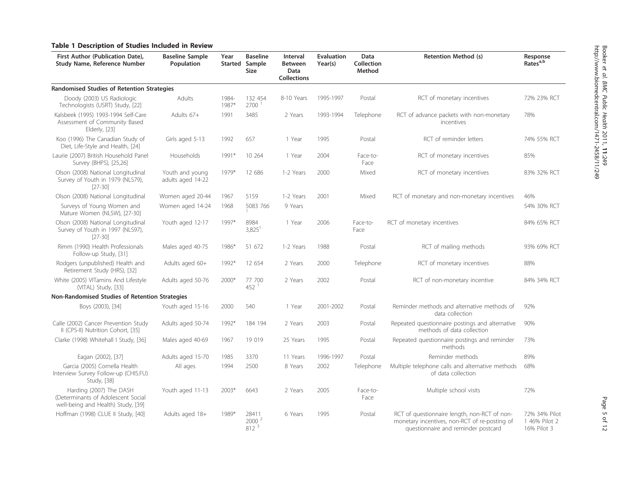# <span id="page-4-0"></span>Table 1 Description of Studies Included in Review

| First Author (Publication Date),<br>Study Name, Reference Number                                    | <b>Baseline Sample</b><br>Population | Year           | <b>Baseline</b><br>Started Sample<br>Size | Interval<br><b>Between</b><br>Data<br><b>Collections</b> | <b>Evaluation</b><br>Year(s) | Data<br>Collection<br>Method | <b>Retention Method (s)</b>                                                                                                          | Response<br>Rates <sup>a,b</sup>              |
|-----------------------------------------------------------------------------------------------------|--------------------------------------|----------------|-------------------------------------------|----------------------------------------------------------|------------------------------|------------------------------|--------------------------------------------------------------------------------------------------------------------------------------|-----------------------------------------------|
| <b>Randomised Studies of Retention Strategies</b>                                                   |                                      |                |                                           |                                                          |                              |                              |                                                                                                                                      |                                               |
| Doody (2003) US Radiologic<br>Technologists (USRT) Study, [22]                                      | Adults                               | 1984-<br>1987* | 132 454<br>2700                           | 8-10 Years                                               | 1995-1997                    | Postal                       | RCT of monetary incentives                                                                                                           | 72% 23% RCT                                   |
| Kalsbeek (1995) 1993-1994 Self-Care<br>Assessment of Community Based<br>Elderly, [23]               | Adults 67+                           | 1991           | 3485                                      | 2 Years                                                  | 1993-1994                    | Telephone                    | RCT of advance packets with non-monetary<br>incentives                                                                               | 78%                                           |
| Koo (1996) The Canadian Study of<br>Diet, Life-Style and Health, [24]                               | Girls aged 5-13                      | 1992           | 657                                       | 1 Year                                                   | 1995                         | Postal                       | RCT of reminder letters                                                                                                              | 74% 55% RCT                                   |
| Laurie (2007) British Household Panel<br>Survey (BHPS), [25,26]                                     | Households                           | 1991*          | 10 264                                    | 1 Year                                                   | 2004                         | Face-to-<br>Face             | RCT of monetary incentives                                                                                                           | 85%                                           |
| Olson (2008) National Longitudinal<br>Survey of Youth in 1979 (NLS79),<br>$[27-30]$                 | Youth and young<br>adults aged 14-22 | 1979*          | 12 686                                    | 1-2 Years                                                | 2000                         | Mixed                        | RCT of monetary incentives                                                                                                           | 83% 32% RCT                                   |
| Olson (2008) National Longitudinal                                                                  | Women aged 20-44                     | 1967           | 5159                                      | 1-2 Years                                                | 2001                         | Mixed                        | RCT of monetary and non-monetary incentives                                                                                          | 46%                                           |
| Surveys of Young Women and<br>Mature Women (NLSW), [27-30]                                          | Women aged 14-24                     | 1968           | 5083 766                                  | 9 Years                                                  |                              |                              |                                                                                                                                      | 54% 30% RCT                                   |
| Olson (2008) National Longitudinal<br>Survey of Youth in 1997 (NLS97),<br>$[27-30]$                 | Youth aged 12-17                     | 1997*          | 8984<br>3,825                             | 1 Year                                                   | 2006                         | Face-to-<br>Face             | RCT of monetary incentives                                                                                                           | 84% 65% RCT                                   |
| Rimm (1990) Health Professionals<br>Follow-up Study, [31]                                           | Males aged 40-75                     | 1986*          | 51 672                                    | 1-2 Years                                                | 1988                         | Postal                       | RCT of mailing methods                                                                                                               | 93% 69% RCT                                   |
| Rodgers (unpublished) Health and<br>Retirement Study (HRS), [32]                                    | Adults aged 60+                      | 1992*          | 12 654                                    | 2 Years                                                  | 2000                         | Telephone                    | RCT of monetary incentives                                                                                                           | 88%                                           |
| White (2005) VITamins And Lifestyle<br>(VITAL) Study, [33]                                          | Adults aged 50-76                    | 2000*          | 77 700<br>$452-1$                         | 2 Years                                                  | 2002                         | Postal                       | RCT of non-monetary incentive                                                                                                        | 84% 34% RCT                                   |
| Non-Randomised Studies of Retention Strategies                                                      |                                      |                |                                           |                                                          |                              |                              |                                                                                                                                      |                                               |
| Boys (2003), [34]                                                                                   | Youth aged 15-16                     | 2000           | 540                                       | 1 Year                                                   | 2001-2002                    | Postal                       | Reminder methods and alternative methods of<br>data collection                                                                       | 92%                                           |
| Calle (2002) Cancer Prevention Study<br>II (CPS-II) Nutrition Cohort, [35]                          | Adults aged 50-74                    | 1992*          | 184 194                                   | 2 Years                                                  | 2003                         | Postal                       | Repeated questionnaire postings and alternative<br>methods of data collection                                                        | 90%                                           |
| Clarke (1998) Whitehall I Study, [36]                                                               | Males aged 40-69                     | 1967           | 19 019                                    | 25 Years                                                 | 1995                         | Postal                       | Repeated questionnaire postings and reminder<br>methods                                                                              | 73%                                           |
| Eagan (2002), [37]                                                                                  | Adults aged 15-70                    | 1985           | 3370                                      | 11 Years                                                 | 1996-1997                    | Postal                       | Reminder methods                                                                                                                     | 89%                                           |
| Garcia (2005) Cornella Health<br>Interview Survey Follow-up (CHIS.FU)<br>Study, [38]                | All ages                             | 1994           | 2500                                      | 8 Years                                                  | 2002                         | Telephone                    | Multiple telephone calls and alternative methods<br>of data collection                                                               | 68%                                           |
| Harding (2007) The DASH<br>(Determinants of Adolescent Social<br>well-being and Health) Study, [39] | Youth aged 11-13                     | 2003*          | 6643                                      | 2 Years                                                  | 2005                         | Face-to-<br>Face             | Multiple school visits                                                                                                               | 72%                                           |
| Hoffman (1998) CLUE II Study, [40]                                                                  | Adults aged 18+                      | 1989*          | 28411<br>2000 <sup>2</sup><br>812 3       | 6 Years                                                  | 1995                         | Postal                       | RCT of questionnaire length, non-RCT of non-<br>monetary incentives, non-RCT of re-posting of<br>questionnaire and reminder postcard | 72% 34% Pilot<br>1 46% Pilot 2<br>16% Pilot 3 |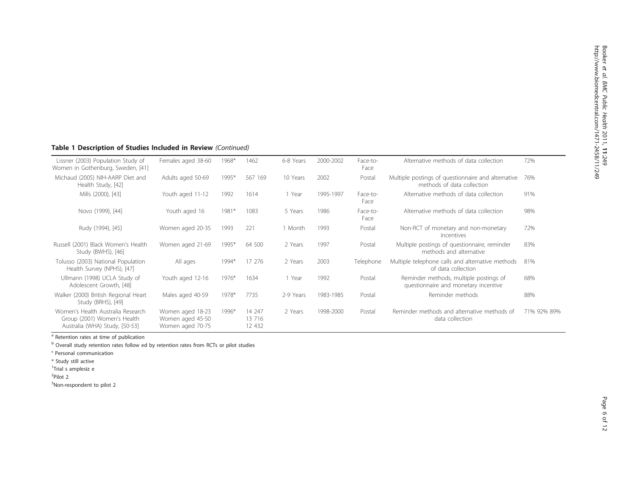# Table 1 Description of Studies Included in Review (Continued)

| Lissner (2003) Population Study of<br>Women in Gothenburg, Sweden, [41]                            | Females aged 38-60                                       | 1968* | 1462                       | 6-8 Years | 2000-2002 | Face-to-<br>Face | Alternative methods of data collection                                           | 72%         |
|----------------------------------------------------------------------------------------------------|----------------------------------------------------------|-------|----------------------------|-----------|-----------|------------------|----------------------------------------------------------------------------------|-------------|
| Michaud (2005) NIH-AARP Diet and<br>Health Study, [42]                                             | Adults aged 50-69                                        | 1995* | 567 169                    | 10 Years  | 2002      | Postal           | Multiple postings of questionnaire and alternative<br>methods of data collection | 76%         |
| Mills (2000), [43]                                                                                 | Youth aged 11-12                                         | 1992  | 1614                       | 1 Year    | 1995-1997 | Face-to-<br>Face | Alternative methods of data collection                                           | 91%         |
| Novo (1999), [44]                                                                                  | Youth aged 16                                            | 1981* | 1083                       | 5 Years   | 1986      | Face-to-<br>Face | Alternative methods of data collection                                           | 98%         |
| Rudy (1994), [45]                                                                                  | Women aged 20-35                                         | 1993  | 221                        | 1 Month   | 1993      | Postal           | Non-RCT of monetary and non-monetary<br>incentives                               | 72%         |
| Russell (2001) Black Women's Health<br>Study (BWHS), [46]                                          | Women aged 21-69                                         | 1995* | 64 500                     | 2 Years   | 1997      | Postal           | Multiple postings of questionnaire, reminder<br>methods and alternative          | 83%         |
| Tolusso (2003) National Population<br>Health Survey (NPHS), [47]                                   | All ages                                                 | 1994* | 17 276                     | 2 Years   | 2003      | Telephone        | Multiple telephone calls and alternative methods<br>of data collection           | 81%         |
| Ullmann (1998) UCLA Study of<br>Adolescent Growth, [48]                                            | Youth aged 12-16                                         | 1976* | 1634                       | 1 Year    | 1992      | Postal           | Reminder methods, multiple postings of<br>questionnaire and monetary incentive   | 68%         |
| Walker (2000) British Regional Heart<br>Study (BRHS), [49]                                         | Males aged 40-59                                         | 1978* | 7735                       | 2-9 Years | 1983-1985 | Postal           | Reminder methods                                                                 | 88%         |
| Women's Health Australia Research<br>Group (2001) Women's Health<br>Australia (WHA) Study, [50-53] | Women aged 18-23<br>Women aged 45-50<br>Women aged 70-75 | 1996* | 14 247<br>13 716<br>12 432 | 2 Years   | 1998-2000 | Postal           | Reminder methods and alternative methods of<br>data collection                   | 71% 92% 89% |

<sup>a</sup> Retention rates at time of publication

<sup>b</sup> Overall study retention rates follow ed by retention rates from RCTs or pilot studies

° Personal communication

\* Study still active

<sup>1</sup>Trial s amplesiz e

<sup>2</sup>Pilot 2

<sup>3</sup>Non-respondent to pilot 2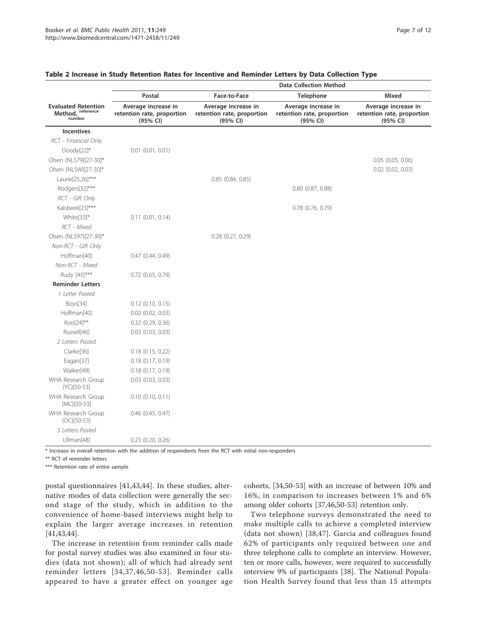| <b>Mixed</b><br>Postal<br>Face-to-Face<br><b>Telephone</b><br><b>Evaluated Retention</b><br>Average increase in<br>Average increase in<br>Average increase in<br>Method, reference<br>retention rate, proportion<br>retention rate, proportion<br>retention rate, proportion<br>number<br>(95% CI)<br>(95% CI)<br>(95% CI)<br>(95% CI)<br><b>Incentives</b><br>RCT - Financial Only<br>Doody[22]*<br>$0.01$ $(0.01, 0.01)$<br>Olsen (NLS79)[27-30]*<br>$0.05$ $(0.05, 0.06)$<br>Olsen (NLSW)[27-30]*<br>$0.02$ $(0.02, 0.03)$<br>Laurie[25,26]***<br>$0.85$ $(0.84, 0.85)$<br>Rodgers[32]***<br>$0.80$ $(0.87, 0.88)$<br>RCT - Gift Only<br>Kalsbeek[23]***<br>$0.78$ $(0.76, 0.79)$<br>White[33]*<br>$0.11$ $(0.01, 0.14)$<br>RCT - Mixed<br>Olsen (NLS97)[27-30]*<br>$0.28$ $(0.27, 0.29)$<br>Non-RCT - Gift Only<br>Hoffman[40]<br>$0.47$ $(0.44, 0.49)$<br>Non-RCT - Mixed<br>Rudy [45]***<br>$0.72$ $(0.65, 0.79)$ |                         |  | <b>Data Collection Method</b> |                                                   |
|-------------------------------------------------------------------------------------------------------------------------------------------------------------------------------------------------------------------------------------------------------------------------------------------------------------------------------------------------------------------------------------------------------------------------------------------------------------------------------------------------------------------------------------------------------------------------------------------------------------------------------------------------------------------------------------------------------------------------------------------------------------------------------------------------------------------------------------------------------------------------------------------------------------------------|-------------------------|--|-------------------------------|---------------------------------------------------|
|                                                                                                                                                                                                                                                                                                                                                                                                                                                                                                                                                                                                                                                                                                                                                                                                                                                                                                                         |                         |  |                               |                                                   |
|                                                                                                                                                                                                                                                                                                                                                                                                                                                                                                                                                                                                                                                                                                                                                                                                                                                                                                                         |                         |  |                               | Average increase in<br>retention rate, proportion |
|                                                                                                                                                                                                                                                                                                                                                                                                                                                                                                                                                                                                                                                                                                                                                                                                                                                                                                                         |                         |  |                               |                                                   |
|                                                                                                                                                                                                                                                                                                                                                                                                                                                                                                                                                                                                                                                                                                                                                                                                                                                                                                                         |                         |  |                               |                                                   |
|                                                                                                                                                                                                                                                                                                                                                                                                                                                                                                                                                                                                                                                                                                                                                                                                                                                                                                                         |                         |  |                               |                                                   |
|                                                                                                                                                                                                                                                                                                                                                                                                                                                                                                                                                                                                                                                                                                                                                                                                                                                                                                                         |                         |  |                               |                                                   |
|                                                                                                                                                                                                                                                                                                                                                                                                                                                                                                                                                                                                                                                                                                                                                                                                                                                                                                                         |                         |  |                               |                                                   |
|                                                                                                                                                                                                                                                                                                                                                                                                                                                                                                                                                                                                                                                                                                                                                                                                                                                                                                                         |                         |  |                               |                                                   |
|                                                                                                                                                                                                                                                                                                                                                                                                                                                                                                                                                                                                                                                                                                                                                                                                                                                                                                                         |                         |  |                               |                                                   |
|                                                                                                                                                                                                                                                                                                                                                                                                                                                                                                                                                                                                                                                                                                                                                                                                                                                                                                                         |                         |  |                               |                                                   |
|                                                                                                                                                                                                                                                                                                                                                                                                                                                                                                                                                                                                                                                                                                                                                                                                                                                                                                                         |                         |  |                               |                                                   |
|                                                                                                                                                                                                                                                                                                                                                                                                                                                                                                                                                                                                                                                                                                                                                                                                                                                                                                                         |                         |  |                               |                                                   |
|                                                                                                                                                                                                                                                                                                                                                                                                                                                                                                                                                                                                                                                                                                                                                                                                                                                                                                                         |                         |  |                               |                                                   |
|                                                                                                                                                                                                                                                                                                                                                                                                                                                                                                                                                                                                                                                                                                                                                                                                                                                                                                                         |                         |  |                               |                                                   |
|                                                                                                                                                                                                                                                                                                                                                                                                                                                                                                                                                                                                                                                                                                                                                                                                                                                                                                                         |                         |  |                               |                                                   |
|                                                                                                                                                                                                                                                                                                                                                                                                                                                                                                                                                                                                                                                                                                                                                                                                                                                                                                                         |                         |  |                               |                                                   |
|                                                                                                                                                                                                                                                                                                                                                                                                                                                                                                                                                                                                                                                                                                                                                                                                                                                                                                                         |                         |  |                               |                                                   |
|                                                                                                                                                                                                                                                                                                                                                                                                                                                                                                                                                                                                                                                                                                                                                                                                                                                                                                                         |                         |  |                               |                                                   |
|                                                                                                                                                                                                                                                                                                                                                                                                                                                                                                                                                                                                                                                                                                                                                                                                                                                                                                                         | <b>Reminder Letters</b> |  |                               |                                                   |
| 1 Letter Posted                                                                                                                                                                                                                                                                                                                                                                                                                                                                                                                                                                                                                                                                                                                                                                                                                                                                                                         |                         |  |                               |                                                   |
| Boys[34]<br>$0.12$ (0.10, 0.15)                                                                                                                                                                                                                                                                                                                                                                                                                                                                                                                                                                                                                                                                                                                                                                                                                                                                                         |                         |  |                               |                                                   |
| Hoffman[40]<br>$0.02$ $(0.02, 0.03)$                                                                                                                                                                                                                                                                                                                                                                                                                                                                                                                                                                                                                                                                                                                                                                                                                                                                                    |                         |  |                               |                                                   |
| Koo[24]**<br>$0.32$ $(0.29, 0.36)$                                                                                                                                                                                                                                                                                                                                                                                                                                                                                                                                                                                                                                                                                                                                                                                                                                                                                      |                         |  |                               |                                                   |
| Russell[46]<br>$0.03$ $(0.03, 0.03)$                                                                                                                                                                                                                                                                                                                                                                                                                                                                                                                                                                                                                                                                                                                                                                                                                                                                                    |                         |  |                               |                                                   |
| 2 Letters Posted                                                                                                                                                                                                                                                                                                                                                                                                                                                                                                                                                                                                                                                                                                                                                                                                                                                                                                        |                         |  |                               |                                                   |
| Clarke <sup>[36]</sup><br>$0.18$ $(0.15, 0.22)$                                                                                                                                                                                                                                                                                                                                                                                                                                                                                                                                                                                                                                                                                                                                                                                                                                                                         |                         |  |                               |                                                   |
| Eagan[37]<br>$0.18$ $(0.17, 0.19)$                                                                                                                                                                                                                                                                                                                                                                                                                                                                                                                                                                                                                                                                                                                                                                                                                                                                                      |                         |  |                               |                                                   |
| Walker[49]<br>$0.18$ $(0.17, 0.19)$                                                                                                                                                                                                                                                                                                                                                                                                                                                                                                                                                                                                                                                                                                                                                                                                                                                                                     |                         |  |                               |                                                   |
| WHA Research Group<br>$0.03$ $(0.03, 0.03)$<br>(YC)[50-53]                                                                                                                                                                                                                                                                                                                                                                                                                                                                                                                                                                                                                                                                                                                                                                                                                                                              |                         |  |                               |                                                   |
| WHA Research Group<br>$0.10$ $(0.10, 0.11)$<br>(MC)[50-53]                                                                                                                                                                                                                                                                                                                                                                                                                                                                                                                                                                                                                                                                                                                                                                                                                                                              |                         |  |                               |                                                   |
| WHA Research Group<br>$0.46$ (0.45, 0.47)<br>$(OC)[50-53]$                                                                                                                                                                                                                                                                                                                                                                                                                                                                                                                                                                                                                                                                                                                                                                                                                                                              |                         |  |                               |                                                   |
| 3 Letters Posted                                                                                                                                                                                                                                                                                                                                                                                                                                                                                                                                                                                                                                                                                                                                                                                                                                                                                                        |                         |  |                               |                                                   |
| Ullman[48]<br>$0.23$ $(0.20, 0.26)$                                                                                                                                                                                                                                                                                                                                                                                                                                                                                                                                                                                                                                                                                                                                                                                                                                                                                     |                         |  |                               |                                                   |

#### <span id="page-6-0"></span>Table 2 Increase in Study Retention Rates for Incentive and Reminder Letters by Data Collection Type

Increase in overall retention with the addition of respondents from the RCT with initial non-responders

\*\* RCT of reminder letters

\*\*\* Retention rate of entire sample

postal questionnaires [[41,43,44](#page-10-0)]. In these studies, alternative modes of data collection were generally the second stage of the study, which in addition to the convenience of home-based interviews might help to explain the larger average increases in retention [[41,43,44](#page-10-0)].

The increase in retention from reminder calls made for postal survey studies was also examined in four studies (data not shown); all of which had already sent reminder letters [[34,37,46](#page-10-0),[50-](#page-10-0)[53](#page-11-0)]. Reminder calls appeared to have a greater effect on younger age

cohorts, [[34,50](#page-10-0)-[53\]](#page-11-0) with an increase of between 10% and 16%, in comparison to increases between 1% and 6% among older cohorts [[37,46,50](#page-10-0)-[53](#page-11-0)] retention only.

Two telephone surveys demonstrated the need to make multiple calls to achieve a completed interview (data not shown) [[38,47\]](#page-10-0). Garcia and colleagues found 62% of participants only required between one and three telephone calls to complete an interview. However, ten or more calls, however, were required to successfully interview 9% of participants [[38\]](#page-10-0). The National Population Health Survey found that less than 15 attempts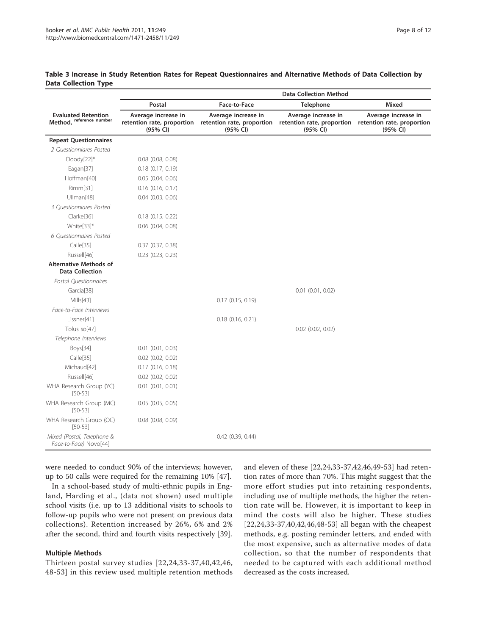# <span id="page-7-0"></span>Table 3 Increase in Study Retention Rates for Repeat Questionnaires and Alternative Methods of Data Collection by Data Collection Type

|                                                         |                                 |                                                                                          | <b>Data Collection Method</b>                                 |                                                               |
|---------------------------------------------------------|---------------------------------|------------------------------------------------------------------------------------------|---------------------------------------------------------------|---------------------------------------------------------------|
|                                                         | Postal                          | Face-to-Face                                                                             | Telephone                                                     | <b>Mixed</b>                                                  |
| <b>Evaluated Retention</b><br>Method, reference number  | Average increase in<br>(95% CI) | Average increase in<br>retention rate, proportion retention rate, proportion<br>(95% CI) | Average increase in<br>retention rate, proportion<br>(95% CI) | Average increase in<br>retention rate, proportion<br>(95% CI) |
| <b>Repeat Questionnaires</b>                            |                                 |                                                                                          |                                                               |                                                               |
| 2 Questionniares Posted                                 |                                 |                                                                                          |                                                               |                                                               |
| Doody[22]*                                              | $0.08$ $(0.08, 0.08)$           |                                                                                          |                                                               |                                                               |
| Eagan[37]                                               | $0.18$ $(0.17, 0.19)$           |                                                                                          |                                                               |                                                               |
| Hoffman[40]                                             | $0.05$ $(0.04, 0.06)$           |                                                                                          |                                                               |                                                               |
| Rimm[31]                                                | $0.16$ (0.16, 0.17)             |                                                                                          |                                                               |                                                               |
| Ullman[48]                                              | $0.04$ $(0.03, 0.06)$           |                                                                                          |                                                               |                                                               |
| 3 Ouestionniares Posted                                 |                                 |                                                                                          |                                                               |                                                               |
| Clarke[36]                                              | $0.18$ $(0.15, 0.22)$           |                                                                                          |                                                               |                                                               |
| White[33]*                                              | $0.06$ $(0.04, 0.08)$           |                                                                                          |                                                               |                                                               |
| 6 Questionnaires Posted                                 |                                 |                                                                                          |                                                               |                                                               |
| Calle[35]                                               | $0.37$ $(0.37, 0.38)$           |                                                                                          |                                                               |                                                               |
| Russell[46]                                             | $0.23$ $(0.23, 0.23)$           |                                                                                          |                                                               |                                                               |
| <b>Alternative Methods of</b><br><b>Data Collection</b> |                                 |                                                                                          |                                                               |                                                               |
| Postal Questionnaires                                   |                                 |                                                                                          |                                                               |                                                               |
| Garcia <sup>[38]</sup>                                  |                                 |                                                                                          | $0.01$ $(0.01, 0.02)$                                         |                                                               |
| Mills[43]                                               |                                 | $0.17$ $(0.15, 0.19)$                                                                    |                                                               |                                                               |
| Face-to-Face Interviews                                 |                                 |                                                                                          |                                                               |                                                               |
| Lissner[41]                                             |                                 | $0.18$ $(0.16, 0.21)$                                                                    |                                                               |                                                               |
| Tolus so[47]                                            |                                 |                                                                                          | $0.02$ $(0.02, 0.02)$                                         |                                                               |
| Telephone Interviews                                    |                                 |                                                                                          |                                                               |                                                               |
| Boys[34]                                                | $0.01$ $(0.01, 0.03)$           |                                                                                          |                                                               |                                                               |
| Calle[35]                                               | $0.02$ $(0.02, 0.02)$           |                                                                                          |                                                               |                                                               |
| Michaud[42]                                             | $0.17$ $(0.16, 0.18)$           |                                                                                          |                                                               |                                                               |
| Russell[46]                                             | $0.02$ $(0.02, 0.02)$           |                                                                                          |                                                               |                                                               |
| WHA Research Group (YC)                                 | $0.01$ $(0.01, 0.01)$           |                                                                                          |                                                               |                                                               |
| $[50-53]$                                               |                                 |                                                                                          |                                                               |                                                               |
| WHA Research Group (MC)<br>$[50-53]$                    | $0.05$ $(0.05, 0.05)$           |                                                                                          |                                                               |                                                               |
| WHA Research Group (OC)<br>$[50-53]$                    | 0.08 (0.08, 0.09)               |                                                                                          |                                                               |                                                               |
| Mixed (Postal, Telephone &<br>Face-to-Face) Novo[44]    |                                 | $0.42$ (0.39, 0.44)                                                                      |                                                               |                                                               |

were needed to conduct 90% of the interviews; however, up to 50 calls were required for the remaining 10% [[47\]](#page-10-0).

In a school-based study of multi-ethnic pupils in England, Harding et al., (data not shown) used multiple school visits (i.e. up to 13 additional visits to schools to follow-up pupils who were not present on previous data collections). Retention increased by 26%, 6% and 2% after the second, third and fourth visits respectively [[39\]](#page-10-0).

#### Multiple Methods

Thirteen postal survey studies [[22](#page-10-0),[24](#page-10-0),[33](#page-10-0)-[37,40](#page-10-0),[42](#page-10-0),[46](#page-10-0), [48](#page-10-0)-[53](#page-11-0)] in this review used multiple retention methods and eleven of these [[22,24,33](#page-10-0)-[37,42,46](#page-10-0),[49-](#page-10-0)[53](#page-11-0)] had retention rates of more than 70%. This might suggest that the more effort studies put into retaining respondents, including use of multiple methods, the higher the retention rate will be. However, it is important to keep in mind the costs will also be higher. These studies [[22,24](#page-10-0),[33-37](#page-10-0),[40,42,46,48](#page-10-0)[-53](#page-11-0)] all began with the cheapest methods, e.g. posting reminder letters, and ended with the most expensive, such as alternative modes of data collection, so that the number of respondents that needed to be captured with each additional method decreased as the costs increased.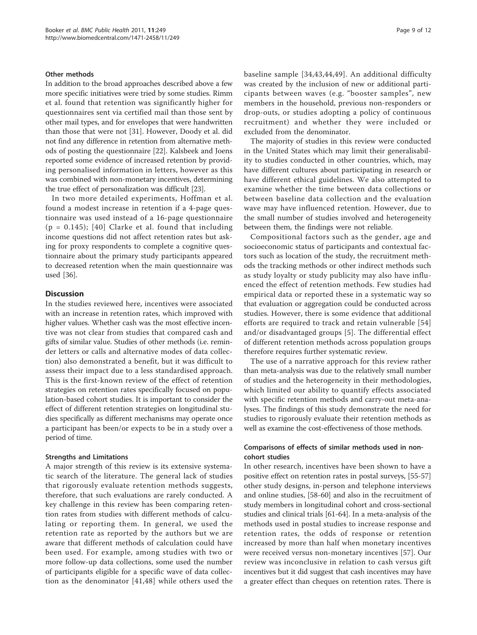#### Other methods

In addition to the broad approaches described above a few more specific initiatives were tried by some studies. Rimm et al. found that retention was significantly higher for questionnaires sent via certified mail than those sent by other mail types, and for envelopes that were handwritten than those that were not [[31](#page-10-0)]. However, Doody et al. did not find any difference in retention from alternative methods of posting the questionnaire [\[22\]](#page-10-0). Kalsbeek and Joens reported some evidence of increased retention by providing personalised information in letters, however as this was combined with non-monetary incentives, determining the true effect of personalization was difficult [\[23\]](#page-10-0).

In two more detailed experiments, Hoffman et al. found a modest increase in retention if a 4-page questionnaire was used instead of a 16-page questionnaire  $(p = 0.145)$ ; [[40\]](#page-10-0) Clarke et al. found that including income questions did not affect retention rates but asking for proxy respondents to complete a cognitive questionnaire about the primary study participants appeared to decreased retention when the main questionnaire was used [[36](#page-10-0)].

#### **Discussion**

In the studies reviewed here, incentives were associated with an increase in retention rates, which improved with higher values. Whether cash was the most effective incentive was not clear from studies that compared cash and gifts of similar value. Studies of other methods (i.e. reminder letters or calls and alternative modes of data collection) also demonstrated a benefit, but it was difficult to assess their impact due to a less standardised approach. This is the first-known review of the effect of retention strategies on retention rates specifically focused on population-based cohort studies. It is important to consider the effect of different retention strategies on longitudinal studies specifically as different mechanisms may operate once a participant has been/or expects to be in a study over a period of time.

#### Strengths and Limitations

A major strength of this review is its extensive systematic search of the literature. The general lack of studies that rigorously evaluate retention methods suggests, therefore, that such evaluations are rarely conducted. A key challenge in this review has been comparing retention rates from studies with different methods of calculating or reporting them. In general, we used the retention rate as reported by the authors but we are aware that different methods of calculation could have been used. For example, among studies with two or more follow-up data collections, some used the number of participants eligible for a specific wave of data collection as the denominator [[41](#page-10-0),[48\]](#page-10-0) while others used the baseline sample [[34,43,44](#page-10-0),[49](#page-10-0)]. An additional difficulty was created by the inclusion of new or additional participants between waves (e.g. "booster samples", new members in the household, previous non-responders or drop-outs, or studies adopting a policy of continuous recruitment) and whether they were included or excluded from the denominator.

The majority of studies in this review were conducted in the United States which may limit their generalisability to studies conducted in other countries, which, may have different cultures about participating in research or have different ethical guidelines. We also attempted to examine whether the time between data collections or between baseline data collection and the evaluation wave may have influenced retention. However, due to the small number of studies involved and heterogeneity between them, the findings were not reliable.

Compositional factors such as the gender, age and socioeconomic status of participants and contextual factors such as location of the study, the recruitment methods the tracking methods or other indirect methods such as study loyalty or study publicity may also have influenced the effect of retention methods. Few studies had empirical data or reported these in a systematic way so that evaluation or aggregation could be conducted across studies. However, there is some evidence that additional efforts are required to track and retain vulnerable [[54](#page-11-0)] and/or disadvantaged groups [\[5](#page-9-0)]. The differential effect of different retention methods across population groups therefore requires further systematic review.

The use of a narrative approach for this review rather than meta-analysis was due to the relatively small number of studies and the heterogeneity in their methodologies, which limited our ability to quantify effects associated with specific retention methods and carry-out meta-analyses. The findings of this study demonstrate the need for studies to rigorously evaluate their retention methods as well as examine the cost-effectiveness of those methods.

## Comparisons of effects of similar methods used in noncohort studies

In other research, incentives have been shown to have a positive effect on retention rates in postal surveys, [[55](#page-11-0)-[57](#page-11-0)] other study designs, in-person and telephone interviews and online studies, [\[58-60](#page-11-0)] and also in the recruitment of study members in longitudinal cohort and cross-sectional studies and clinical trials [\[61-64](#page-11-0)]. In a meta-analysis of the methods used in postal studies to increase response and retention rates, the odds of response or retention increased by more than half when monetary incentives were received versus non-monetary incentives [\[57](#page-11-0)]. Our review was inconclusive in relation to cash versus gift incentives but it did suggest that cash incentives may have a greater effect than cheques on retention rates. There is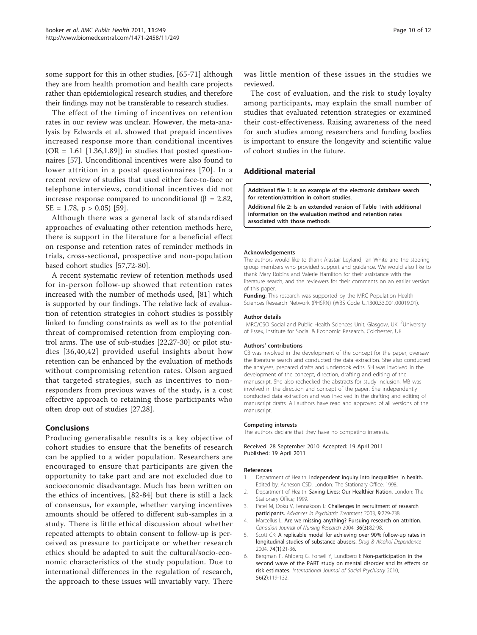<span id="page-9-0"></span>some support for this in other studies, [[65-71\]](#page-11-0) although they are from health promotion and health care projects rather than epidemiological research studies, and therefore their findings may not be transferable to research studies.

The effect of the timing of incentives on retention rates in our review was unclear. However, the meta-analysis by Edwards et al. showed that prepaid incentives increased response more than conditional incentives  $(OR = 1.61 [1.36, 1.89])$  in studies that posted questionnaires [[57\]](#page-11-0). Unconditional incentives were also found to lower attrition in a postal questionnaires [[70\]](#page-11-0). In a recent review of studies that used either face-to-face or telephone interviews, conditional incentives did not increase response compared to unconditional ( $\beta = 2.82$ ,  $SE = 1.78$ ,  $p > 0.05$  [[59\]](#page-11-0).

Although there was a general lack of standardised approaches of evaluating other retention methods here, there is support in the literature for a beneficial effect on response and retention rates of reminder methods in trials, cross-sectional, prospective and non-population based cohort studies [\[57,72-80](#page-11-0)].

A recent systematic review of retention methods used for in-person follow-up showed that retention rates increased with the number of methods used, [[81](#page-11-0)] which is supported by our findings. The relative lack of evaluation of retention strategies in cohort studies is possibly linked to funding constraints as well as to the potential threat of compromised retention from employing control arms. The use of sub-studies [\[22,27](#page-10-0)-[30](#page-10-0)] or pilot studies [[36](#page-10-0),[40,42\]](#page-10-0) provided useful insights about how retention can be enhanced by the evaluation of methods without compromising retention rates. Olson argued that targeted strategies, such as incentives to nonresponders from previous waves of the study, is a cost effective approach to retaining those participants who often drop out of studies [[27](#page-10-0),[28](#page-10-0)].

# Conclusions

Producing generalisable results is a key objective of cohort studies to ensure that the benefits of research can be applied to a wider population. Researchers are encouraged to ensure that participants are given the opportunity to take part and are not excluded due to socioeconomic disadvantage. Much has been written on the ethics of incentives, [[82](#page-11-0)-[84\]](#page-11-0) but there is still a lack of consensus, for example, whether varying incentives amounts should be offered to different sub-samples in a study. There is little ethical discussion about whether repeated attempts to obtain consent to follow-up is perceived as pressure to participate or whether research ethics should be adapted to suit the cultural/socio-economic characteristics of the study population. Due to international differences in the regulation of research, the approach to these issues will invariably vary. There

was little mention of these issues in the studies we reviewed.

The cost of evaluation, and the risk to study loyalty among participants, may explain the small number of studies that evaluated retention strategies or examined their cost-effectiveness. Raising awareness of the need for such studies among researchers and funding bodies is important to ensure the longevity and scientific value of cohort studies in the future.

#### Additional material

[Additional file 1: I](http://www.biomedcentral.com/content/supplementary/1471-2458-11-249-S1.DOC)s an example of the electronic database search for retention/attrition in cohort studies.

[Additional file 2: I](http://www.biomedcentral.com/content/supplementary/1471-2458-11-249-S2.DOC)s an extended version of Table [1](#page-4-0)with additional information on the evaluation method and retention rates associated with those methods.

#### Acknowledgements

The authors would like to thank Alastair Leyland, Ian White and the steering group members who provided support and guidance. We would also like to thank Mary Robins and Valerie Hamilton for their assistance with the literature search, and the reviewers for their comments on an earlier version of this paper.

Funding: This research was supported by the MRC Population Health Sciences Research Network (PHSRN) (WBS Code U.1300.33.001.00019.01).

#### Author details

<sup>1</sup>MRC/CSO Social and Public Health Sciences Unit, Glasgow, UK. <sup>2</sup>University of Essex, Institute for Social & Economic Research, Colchester, UK.

#### Authors' contributions

CB was involved in the development of the concept for the paper, oversaw the literature search and conducted the data extraction. She also conducted the analyses, prepared drafts and undertook edits. SH was involved in the development of the concept, direction, drafting and editing of the manuscript. She also rechecked the abstracts for study inclusion. MB was involved in the direction and concept of the paper. She independently conducted data extraction and was involved in the drafting and editing of manuscript drafts. All authors have read and approved of all versions of the manuscript.

#### Competing interests

The authors declare that they have no competing interests.

Received: 28 September 2010 Accepted: 19 April 2011 Published: 19 April 2011

#### References

- 1. Department of Health: Independent inquiry into inequalities in health. Edited by: Acheson CSD. London: The Stationary Office; 1998:.
- 2. Department of Health: Saving Lives: Our Healthier Nation. London: The Stationary Office; 1999.
- 3. Patel M, Doku V, Tennakoon L: Challenges in recruitment of research participants. Advances in Psychiatric Treatment 2003, 9:229-238.
- 4. Marcellus L: [Are we missing anything? Pursuing research on attrition.](http://www.ncbi.nlm.nih.gov/pubmed/15551664?dopt=Abstract) Canadian Journal of Nursing Research 2004, 36(3):82-98.
- 5. Scott CK: [A replicable model for achieving over 90% follow-up rates in](http://www.ncbi.nlm.nih.gov/pubmed/21516573?dopt=Abstract) [longitudinal studies of substance abusers.](http://www.ncbi.nlm.nih.gov/pubmed/21516573?dopt=Abstract) Drug & Alcohol Dependence 2004, 74(1):21-36.
- 6. Bergman P, Ahlberg G, Forsell Y, Lundberg I: [Non-participation in the](http://www.ncbi.nlm.nih.gov/pubmed/20207675?dopt=Abstract) [second wave of the PART study on mental disorder and its effects on](http://www.ncbi.nlm.nih.gov/pubmed/20207675?dopt=Abstract) [risk estimates.](http://www.ncbi.nlm.nih.gov/pubmed/20207675?dopt=Abstract) International Journal of Social Psychiatry 2010, 56(2):119-132.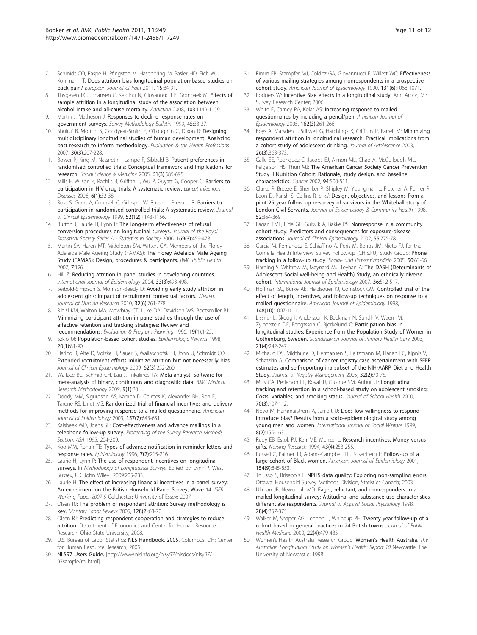- <span id="page-10-0"></span>7. Schmidt CO, Raspe H, Pfingsten M, Hasenbring M, Basler HD, Eich W, Kohlmann T: [Does attrition bias longitudinal population-based studies on](http://www.ncbi.nlm.nih.gov/pubmed/20542714?dopt=Abstract) [back pain?](http://www.ncbi.nlm.nih.gov/pubmed/20542714?dopt=Abstract) European Journal of Pain 2011, 15:84-91.
- Thygesen LC, Johansen C, Kelding N, Giovannucci E, Gronbaek M: [Effects of](http://www.ncbi.nlm.nih.gov/pubmed/18554348?dopt=Abstract) [sample attrition in a longitudinal study of the association between](http://www.ncbi.nlm.nih.gov/pubmed/18554348?dopt=Abstract) [alcohol intake and all-cause mortality.](http://www.ncbi.nlm.nih.gov/pubmed/18554348?dopt=Abstract) Addiction 2008, 103:1149-1159.
- 9. Martin J, Matheson J: Responses to decline response rates on government surveys. Survey Methodology Bulletin 1999, 45:33-37.
- 10. Shulruf B, Morton S, Goodyear-Smith F, O'Loughlin C, Dixon R: [Designing](http://www.ncbi.nlm.nih.gov/pubmed/21516611?dopt=Abstract) [multidisciplinary longitudinal studies of human development: Analyzing](http://www.ncbi.nlm.nih.gov/pubmed/21516611?dopt=Abstract) [past research to inform methodology.](http://www.ncbi.nlm.nih.gov/pubmed/21516611?dopt=Abstract) Evaluation & the Health Professions 2007, 30(3):207-228.
- 11. Bower P, King M, Nazareth I, Lampe F, Sibbald B: [Patient preferences in](http://www.ncbi.nlm.nih.gov/pubmed/21516533?dopt=Abstract) [randomised controlled trials: Conceptual framework and implications for](http://www.ncbi.nlm.nih.gov/pubmed/21516533?dopt=Abstract) [research.](http://www.ncbi.nlm.nih.gov/pubmed/21516533?dopt=Abstract) Social Science & Medicine 2005, 61(3):685-695.
- 12. Mills E, Wilson K, Rachlis B, Griffith L, Wu P, Guyatt G, Cooper C: [Barriers to](http://www.ncbi.nlm.nih.gov/pubmed/16377532?dopt=Abstract) [participation in HIV drug trials: A systematic review.](http://www.ncbi.nlm.nih.gov/pubmed/16377532?dopt=Abstract) Lancet Infectious Diseases 2006, 6(1):32-38.
- 13. Ross S, Grant A, Counsell C, Gillespie W, Russell I, Prescott R: [Barriers to](http://www.ncbi.nlm.nih.gov/pubmed/10580777?dopt=Abstract) [participation in randomised controlled trials: A systematic review.](http://www.ncbi.nlm.nih.gov/pubmed/10580777?dopt=Abstract) Journal of Clinical Epidemiology 1999, 52(12):1143-1156.
- 14. Burton J, Laurie H, Lynn P: The long-term effectiveness of refusal conversion procedures on longitudinal surveys. Journal of the Royal Statistical Society Series A - Statistics in Society 2006, 169(3):459-478.
- 15. Martin SA, Haren MT, Middleton SM, Wittert GA, Members of the Florey Adelaide Male Ageing Study (FAMAS): [The Florey Adelaide Male Ageing](http://www.ncbi.nlm.nih.gov/pubmed/17594505?dopt=Abstract) [Study \(FAMAS\): Design, procedures & participants.](http://www.ncbi.nlm.nih.gov/pubmed/17594505?dopt=Abstract) BMC Public Health 2007, 7:126.
- 16. Hill Z: [Reducing attrition in panel studies in developing countries.](http://www.ncbi.nlm.nih.gov/pubmed/15131086?dopt=Abstract) International Journal of Epidemiology 2004, 33(3):493-498.
- 17. Seibold-Simpson S, Morrison-Beedy D: [Avoiding early study attrition in](http://www.ncbi.nlm.nih.gov/pubmed/20634400?dopt=Abstract) [adolescent girls: Impact of recruitment contextual factors.](http://www.ncbi.nlm.nih.gov/pubmed/20634400?dopt=Abstract) Western Journal of Nursing Research 2010, 32(6):761-778.
- 18. Ribisl KM, Walton MA, Mowbray CT, Luke DA, Davidson WS, Bootsmiller BJ: [Minimizing participant attrition in panel studies through the use of](http://www.ncbi.nlm.nih.gov/pubmed/21516611?dopt=Abstract) [effective retention and tracking strategies: Review and](http://www.ncbi.nlm.nih.gov/pubmed/21516611?dopt=Abstract) [recommendations.](http://www.ncbi.nlm.nih.gov/pubmed/21516611?dopt=Abstract) Evaluation & Program Planning 1996, 19(1):1-25.
- 19. Szklo M: [Population-based cohort studies.](http://www.ncbi.nlm.nih.gov/pubmed/9762511?dopt=Abstract) Epidemiologic Reviews 1998, 20(1):81-90.
- 20. Haring R, Alte D, Volzke H, Sauer S, Wallaschofski H, John U, Schmidt CO: [Extended recruitment efforts minimize attrition but not necessarily bias.](http://www.ncbi.nlm.nih.gov/pubmed/18834716?dopt=Abstract) Journal of Clinical Epidemiology 2009, 62(3):252-260.
- 21. Wallace BC, Schmid CH, Lau J, Trikalinos TA: [Meta-analyst: Software for](http://www.ncbi.nlm.nih.gov/pubmed/19961608?dopt=Abstract) [meta-analysis of binary, continuous and diagnositic data.](http://www.ncbi.nlm.nih.gov/pubmed/19961608?dopt=Abstract) BMC Medical Research Methodology 2009, 9(1):80.
- 22. Doody MM, Sigurdson AS, Kampa D, Chimes K, Alexander BH, Ron E, Tarone RE, Linet MS: [Randomized trial of financial incentives and delivery](http://www.ncbi.nlm.nih.gov/pubmed/12672684?dopt=Abstract) [methods for improving response to a mailed questionnaire.](http://www.ncbi.nlm.nih.gov/pubmed/12672684?dopt=Abstract) American Journal of Epidemiology 2003, 157(7):643-651.
- 23. Kalsbeek WD, Joens SE: Cost-effectiveness and advance mailings in a telephone follow-up survey. Proceeding of the Survey Research Methods Section, ASA 1995, 204-209.
- 24. Koo MM, Rohan TE: [Types of advance notification in reminder letters and](http://www.ncbi.nlm.nih.gov/pubmed/8834569?dopt=Abstract) [response rates.](http://www.ncbi.nlm.nih.gov/pubmed/8834569?dopt=Abstract) Epidemiology 1996, 7(2):215-216.
- 25. Laurie H, Lynn P: The use of respondent incentives on longitudinal surveys. In Methodology of Longitudinal Surveys. Edited by: Lynn P. West Sussex, UK: John Wiley 2009:205-233.
- 26. Laurie H: The effect of increasing financial incentives in a panel survey: An experiment on the British Household Panel Survey, Wave 14. ISER Working Paper 2007-5 Colchester: University of Essex; 2007.
- 27. Olsen RJ: The problem of respondent attrition: Survey methodology is key. Monthly Labor Review 2005, 128(2):63-70.
- 28. Olsen RJ: Predicting respondent cooperation and strategies to reduce attrition. Department of Economics and Center for Human Resource Research, Ohio State University; 2008.
- 29. U.S. Bureau of Labor Statistics: NLS Handbook, 2005. Columbus, OH: Center for Human Resource Research; 2005.
- 30. NLS97 Users Guide. [\[http://www.nlsinfo.org/nlsy97/nlsdocs/nlsy97/](http://www.nlsinfo.org/nlsy97/nlsdocs/nlsy97/97sample/rni.html) [97sample/rni.html\]](http://www.nlsinfo.org/nlsy97/nlsdocs/nlsy97/97sample/rni.html).
- 31. Rimm EB, Stampfer MJ, Colditz GA, Giovannucci E, Willett WC: [Effectiveness](http://www.ncbi.nlm.nih.gov/pubmed/2343859?dopt=Abstract) [of various mailing strategies among nonrespondents in a prospective](http://www.ncbi.nlm.nih.gov/pubmed/2343859?dopt=Abstract) [cohort study.](http://www.ncbi.nlm.nih.gov/pubmed/2343859?dopt=Abstract) American Journal of Epidemiology 1990, 131(6):1068-1071.
- 32. Rodgers W: Incentive Size effects in a longitudinal study. Ann Arbor, MI: Survey Research Center; 2006.
- 33. White E, Carney PA, Kolar AS: [Increasing response to mailed](http://www.ncbi.nlm.nih.gov/pubmed/15972931?dopt=Abstract) [questionnaires by including a pencil/pen.](http://www.ncbi.nlm.nih.gov/pubmed/15972931?dopt=Abstract) American Journal of Epidemiology 2005, 162(3):261-266.
- 34. Boys A, Marsden J, Stillwell G, Hatchings K, Griffiths P, Farrell M: [Minimizing](http://www.ncbi.nlm.nih.gov/pubmed/12770532?dopt=Abstract) [respondent attrition in longitudinal research: Practical implications from](http://www.ncbi.nlm.nih.gov/pubmed/12770532?dopt=Abstract) [a cohort study of adolescent drinking.](http://www.ncbi.nlm.nih.gov/pubmed/12770532?dopt=Abstract) Journal of Adolescence 2003, 26(3):363-373.
- 35. Calle EE, Rodriguez C, Jacobs EJ, Almon ML, Chao A, McCullough ML, Felgelson HS, Thun MJ: [The American Cancer Society Cancer Prevention](http://www.ncbi.nlm.nih.gov/pubmed/11900235?dopt=Abstract) [Study II Nutrition Cohort: Rationale, study design, and baseline](http://www.ncbi.nlm.nih.gov/pubmed/11900235?dopt=Abstract) [characteristics.](http://www.ncbi.nlm.nih.gov/pubmed/11900235?dopt=Abstract) Cancer 2002, 94:500-511.
- 36. Clarke R, Breeze E, Sherliker P, Shipley M, Youngman L, Fletcher A, Fuhrer R, Leon D, Parish S, Collins R, et al: Design, [objectives, and lessons from a](http://www.ncbi.nlm.nih.gov/pubmed/21515942?dopt=Abstract) [pilot 25 year follow up re-survey of survivors in the Whitehall study of](http://www.ncbi.nlm.nih.gov/pubmed/21515942?dopt=Abstract) [London Civil Servants.](http://www.ncbi.nlm.nih.gov/pubmed/21515942?dopt=Abstract) Journal of Epidemiology & Community Health 1998, 52:364-369.
- 37. Eagan TML, Eide GE, Gulsvik A, Bakke PS: [Nonresponse in a community](http://www.ncbi.nlm.nih.gov/pubmed/12384191?dopt=Abstract) [cohort study: Predictors and consequences for exposure-disease](http://www.ncbi.nlm.nih.gov/pubmed/12384191?dopt=Abstract) [associations.](http://www.ncbi.nlm.nih.gov/pubmed/12384191?dopt=Abstract) Journal of Clinical Epidemiology 2002, 55:775-781.
- 38. Garcia M, Fernandez E, Schiaffino A, Peris M, Borras JM, Nieto FJ, for the Cornella Health Interview Survey Follow-up (CHIS.FU) Study Group: [Phone](http://www.ncbi.nlm.nih.gov/pubmed/15771332?dopt=Abstract) [tracking in a follow-up study.](http://www.ncbi.nlm.nih.gov/pubmed/15771332?dopt=Abstract) Sozial- und Praventivmedizin 2005, 50:63-66.
- 39. Harding S, Whitrow M, Maynard MJ, Teyhan A: [The DASH \(Determinants of](http://www.ncbi.nlm.nih.gov/pubmed/17664225?dopt=Abstract) [Adolescent Social well-being and Health\) Study, an ethnically diverse](http://www.ncbi.nlm.nih.gov/pubmed/17664225?dopt=Abstract) [cohort.](http://www.ncbi.nlm.nih.gov/pubmed/17664225?dopt=Abstract) International Journal of Epidemiology 2007, 36:512-517.
- 40. Hoffman SC, Burke AE, Helzlsouer KJ, Comstock GW: [Controlled trial of the](http://www.ncbi.nlm.nih.gov/pubmed/9829873?dopt=Abstract) [effect of length, incentives, and follow-up techniques on response to a](http://www.ncbi.nlm.nih.gov/pubmed/9829873?dopt=Abstract) [mailed questionnaire.](http://www.ncbi.nlm.nih.gov/pubmed/9829873?dopt=Abstract) American Journal of Epidemiology 1998, 148(10):1007-1011.
- 41. Lissner L, Skoog I, Andersson K, Beckman N, Sundh V, Waern M, Zylberstein DE, Bengtsson C, Bjorkelund C: [Participation bias in](http://www.ncbi.nlm.nih.gov/pubmed/14695076?dopt=Abstract) [longitudinal studies: Experience from the Population Study of Women in](http://www.ncbi.nlm.nih.gov/pubmed/14695076?dopt=Abstract) [Gothenburg, Sweden.](http://www.ncbi.nlm.nih.gov/pubmed/14695076?dopt=Abstract) Scandinavian Journal of Primary Health Care 2003, 21(4):242-247.
- 42. Michaud DS, Midthune D, Hermansen S, Leitzmann M, Harlan LC, Kipnis V, Schatzkin A: Comparison of cancer registry case ascertainment with SEER estimates and self-reporting ina subset of the NIH-AARP Diet and Health Study. Journal of Registry Management 2005, 32(2):70-75.
- 43. Mills CA, Pederson LL, Koval JJ, Gushue SM, Aubut JL: [Longitudinal](http://www.ncbi.nlm.nih.gov/pubmed/10763479?dopt=Abstract) [tracking and retention in a school-based study on adolescent smoking:](http://www.ncbi.nlm.nih.gov/pubmed/10763479?dopt=Abstract) [Costs, variables, and smoking status.](http://www.ncbi.nlm.nih.gov/pubmed/10763479?dopt=Abstract) Journal of School Health 2000, 70(3):107-112.
- 44. Novo M, Hammarstrom A, Janlert U: Does low willingness to respond introduce bias? Results from a socio-epidemiological study among young men and women. International Journal of Social Welfare 1999, 8(2):155-163.
- 45. Rudy EB, Estok PJ, Kerr ME, Menzel L: [Research incentives: Money versus](http://www.ncbi.nlm.nih.gov/pubmed/8047432?dopt=Abstract) [gifts.](http://www.ncbi.nlm.nih.gov/pubmed/8047432?dopt=Abstract) Nursing Research 1994, 43(4):253-255.
- 46. Russell C, Palmer JR, Adams-Campbell LL, Rosenberg L: [Follow-up of a](http://www.ncbi.nlm.nih.gov/pubmed/11682367?dopt=Abstract) [large cohort of Black women.](http://www.ncbi.nlm.nih.gov/pubmed/11682367?dopt=Abstract) American Journal of Epidemiology 2001, 154(9):845-853.
- 47. Tolusso S, Brisebois F: NPHS data quality: Exploring non-sampling errors. Ottawa: Household Survey Methods Division, Statistics Canada; 2003.
- 48. Ullman JB, Newcomb MD: Eager, reluctant, and nonresponders to a mailed longitudinal survey: Attitudinal and substance use characteristics differentiate respondents. Journal of Applied Social Psychology 1998, 28(4):357-375.
- 49. Walker M, Shaper AG, Lennon L, Whincup PH: [Twenty year follow-up of a](http://www.ncbi.nlm.nih.gov/pubmed/11192275?dopt=Abstract) [cohort based in general practices in 24 British towns.](http://www.ncbi.nlm.nih.gov/pubmed/11192275?dopt=Abstract) Journal of Public Health Medicine 2000, 22(4):479-485.
- 50. Women's Health Australia Research Group: Women's [Health Australia.](http://www.ncbi.nlm.nih.gov/pubmed/21492469?dopt=Abstract) The Australian Longitudinal Study on Women's Health: Report 10 Newcastle: The University of Newcastle; 1998.